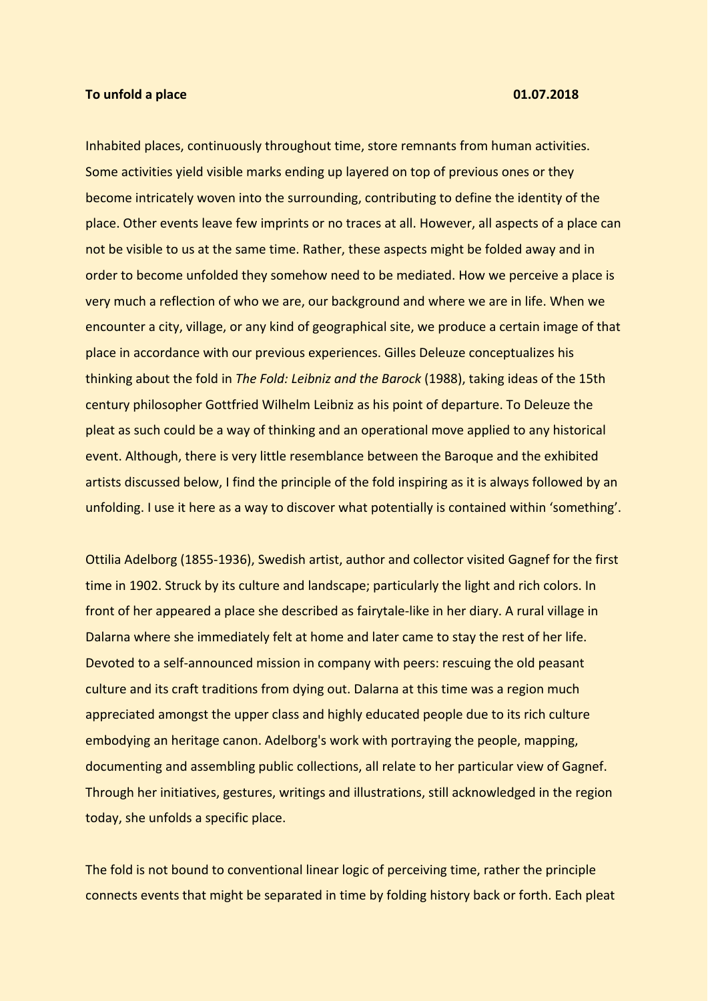## **To unfold a place 01.07.2018**

Inhabited places, continuously throughout time, store remnants from human activities. Some activities yield visible marks ending up layered on top of previous ones or they become intricately woven into the surrounding, contributing to define the identity of the place. Other events leave few imprints or no traces at all. However, all aspects of a place can not be visible to us at the same time. Rather, these aspects might be folded away and in order to become unfolded they somehow need to be mediated. How we perceive a place is very much a reflection of who we are, our background and where we are in life. When we encounter a city, village, or any kind of geographical site, we produce a certain image of that place in accordance with our previous experiences. Gilles Deleuze conceptualizes his thinking about the fold in *The Fold: Leibniz and the Barock* (1988), taking ideas of the 15th century philosopher Gottfried Wilhelm Leibniz as his point of departure. To Deleuze the pleat as such could be a way of thinking and an operational move applied to any historical event. Although, there is very little resemblance between the Baroque and the exhibited artists discussed below, I find the principle of the fold inspiring as it is always followed by an unfolding. I use it here as a way to discover what potentially is contained within 'something'.

Ottilia Adelborg (1855-1936), Swedish artist, author and collector visited Gagnef for the first time in 1902. Struck by its culture and landscape; particularly the light and rich colors. In front of her appeared a place she described as fairytale-like in her diary. A rural village in Dalarna where she immediately felt at home and later came to stay the rest of her life. Devoted to a self-announced mission in company with peers: rescuing the old peasant culture and its craft traditions from dying out. Dalarna at this time was a region much appreciated amongst the upper class and highly educated people due to its rich culture embodying an heritage canon. Adelborg's work with portraying the people, mapping, documenting and assembling public collections, all relate to her particular view of Gagnef. Through her initiatives, gestures, writings and illustrations, still acknowledged in the region today, she unfolds a specific place.

The fold is not bound to conventional linear logic of perceiving time, rather the principle connects events that might be separated in time by folding history back or forth. Each pleat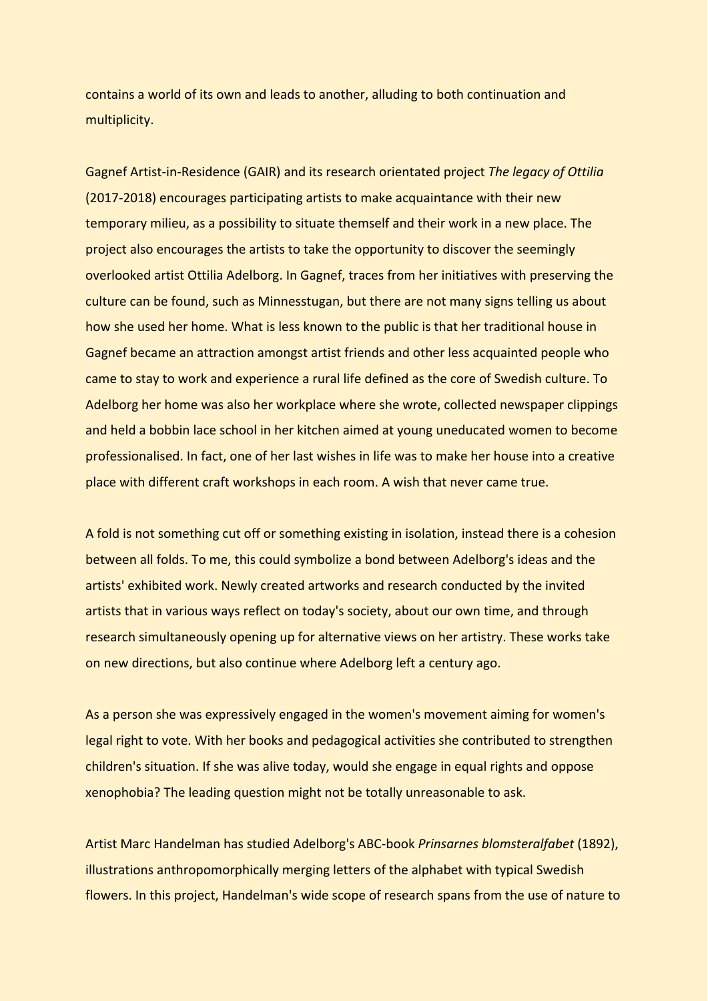contains a world of its own and leads to another, alluding to both continuation and multiplicity.

Gagnef Artist-in-Residence (GAIR) and its research orientated project *The legacy of Ottilia* (2017-2018) encourages participating artists to make acquaintance with their new temporary milieu, as a possibility to situate themself and their work in a new place. The project also encourages the artists to take the opportunity to discover the seemingly overlooked artist Ottilia Adelborg. In Gagnef, traces from her initiatives with preserving the culture can be found, such as Minnesstugan, but there are not many signs telling us about how she used her home. What is less known to the public is that her traditional house in Gagnef became an attraction amongst artist friends and other less acquainted people who came to stay to work and experience a rural life defined as the core of Swedish culture. To Adelborg her home was also her workplace where she wrote, collected newspaper clippings and held a bobbin lace school in her kitchen aimed at young uneducated women to become professionalised. In fact, one of her last wishes in life was to make her house into a creative place with different craft workshops in each room. A wish that never came true.

A fold is not something cut off or something existing in isolation, instead there is a cohesion between all folds. To me, this could symbolize a bond between Adelborg's ideas and the artists' exhibited work. Newly created artworks and research conducted by the invited artists that in various ways reflect on today's society, about our own time, and through research simultaneously opening up for alternative views on her artistry. These works take on new directions, but also continue where Adelborg left a century ago.

As a person she was expressively engaged in the women's movement aiming for women's legal right to vote. With her books and pedagogical activities she contributed to strengthen children's situation. If she was alive today, would she engage in equal rights and oppose xenophobia? The leading question might not be totally unreasonable to ask.

Artist Marc Handelman has studied Adelborg's ABC-book *Prinsarnes blomsteralfabet* (1892), illustrations anthropomorphically merging letters of the alphabet with typical Swedish flowers. In this project, Handelman's wide scope of research spans from the use of nature to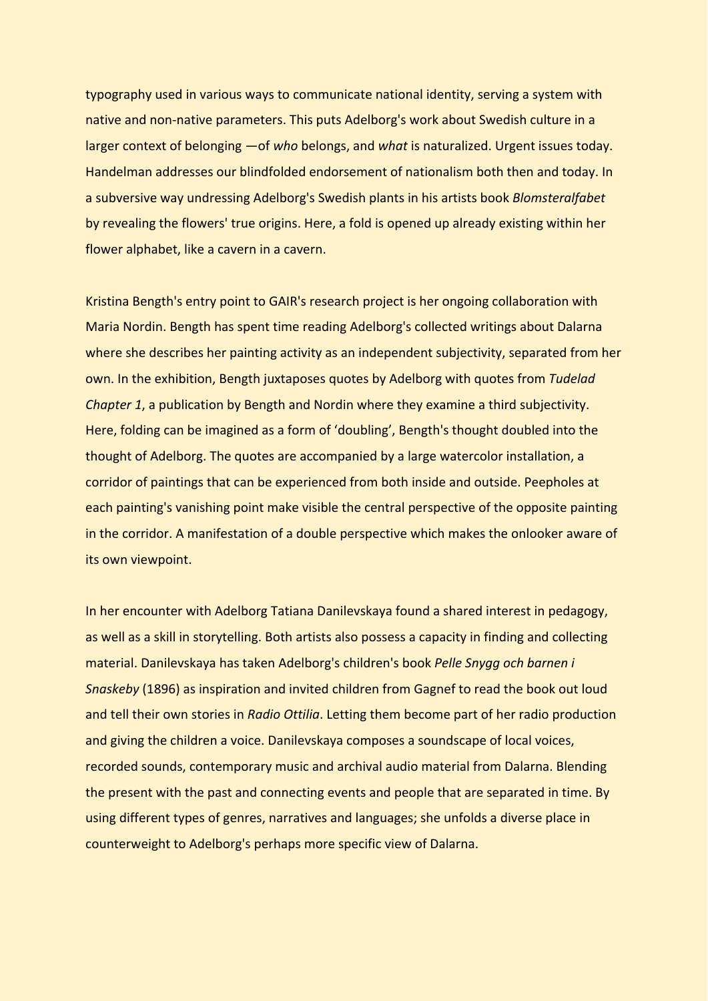typography used in various ways to communicate national identity, serving a system with native and non-native parameters. This puts Adelborg's work about Swedish culture in a larger context of belonging —of *who* belongs, and *what* is naturalized. Urgent issues today. Handelman addresses our blindfolded endorsement of nationalism both then and today. In a subversive way undressing Adelborg's Swedish plants in his artists book *Blomsteralfabet* by revealing the flowers' true origins. Here, a fold is opened up already existing within her flower alphabet, like a cavern in a cavern.

Kristina Bength's entry point to GAIR's research project is her ongoing collaboration with Maria Nordin. Bength has spent time reading Adelborg's collected writings about Dalarna where she describes her painting activity as an independent subjectivity, separated from her own. In the exhibition, Bength juxtaposes quotes by Adelborg with quotes from *Tudelad Chapter 1*, a publication by Bength and Nordin where they examine a third subjectivity. Here, folding can be imagined as a form of 'doubling', Bength's thought doubled into the thought of Adelborg. The quotes are accompanied by a large watercolor installation, a corridor of paintings that can be experienced from both inside and outside. Peepholes at each painting's vanishing point make visible the central perspective of the opposite painting in the corridor. A manifestation of a double perspective which makes the onlooker aware of its own viewpoint.

In her encounter with Adelborg Tatiana Danilevskaya found a shared interest in pedagogy, as well as a skill in storytelling. Both artists also possess a capacity in finding and collecting material. Danilevskaya has taken Adelborg's children's book *Pelle Snygg och barnen i Snaskeby* (1896) as inspiration and invited children from Gagnef to read the book out loud and tell their own stories in *Radio Ottilia*. Letting them become part of her radio production and giving the children a voice. Danilevskaya composes a soundscape of local voices, recorded sounds, contemporary music and archival audio material from Dalarna. Blending the present with the past and connecting events and people that are separated in time. By using different types of genres, narratives and languages; she unfolds a diverse place in counterweight to Adelborg's perhaps more specific view of Dalarna.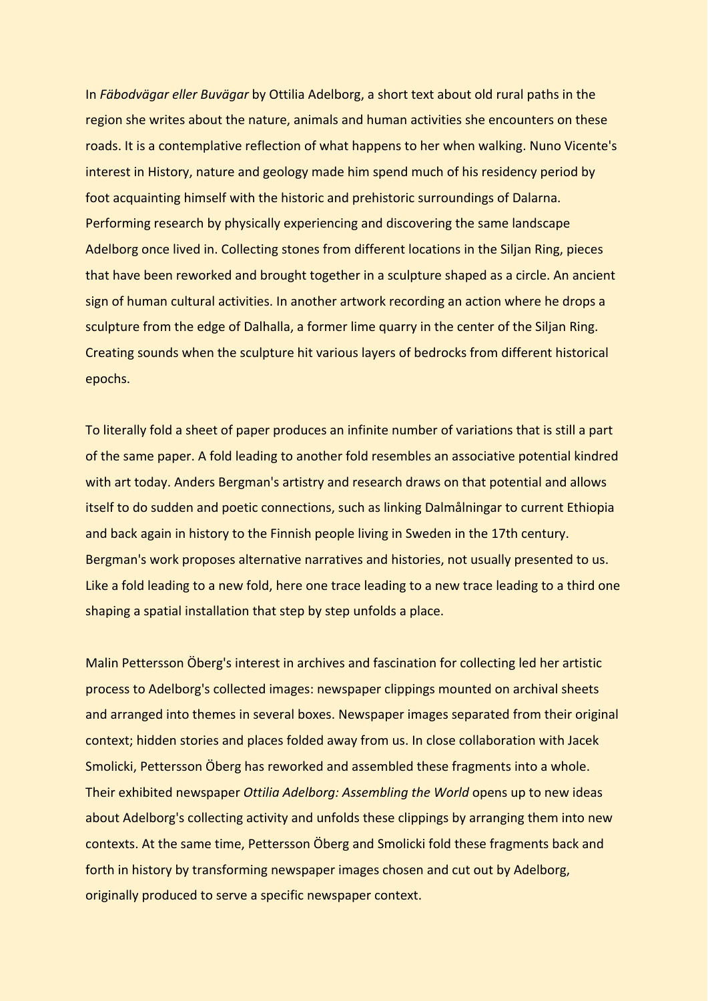In *Fäbodvägar eller Buvägar* by Ottilia Adelborg, a short text about old rural paths in the region she writes about the nature, animals and human activities she encounters on these roads. It is a contemplative reflection of what happens to her when walking. Nuno Vicente's interest in History, nature and geology made him spend much of his residency period by foot acquainting himself with the historic and prehistoric surroundings of Dalarna. Performing research by physically experiencing and discovering the same landscape Adelborg once lived in. Collecting stones from different locations in the Siljan Ring, pieces that have been reworked and brought together in a sculpture shaped as a circle. An ancient sign of human cultural activities. In another artwork recording an action where he drops a sculpture from the edge of Dalhalla, a former lime quarry in the center of the Siljan Ring. Creating sounds when the sculpture hit various layers of bedrocks from different historical epochs.

To literally fold a sheet of paper produces an infinite number of variations that is still a part of the same paper. A fold leading to another fold resembles an associative potential kindred with art today. Anders Bergman's artistry and research draws on that potential and allows itself to do sudden and poetic connections, such as linking Dalmålningar to current Ethiopia and back again in history to the Finnish people living in Sweden in the 17th century. Bergman's work proposes alternative narratives and histories, not usually presented to us. Like a fold leading to a new fold, here one trace leading to a new trace leading to a third one shaping a spatial installation that step by step unfolds a place.

Malin Pettersson Öberg's interest in archives and fascination for collecting led her artistic process to Adelborg's collected images: newspaper clippings mounted on archival sheets and arranged into themes in several boxes. Newspaper images separated from their original context; hidden stories and places folded away from us. In close collaboration with Jacek Smolicki, Pettersson Öberg has reworked and assembled these fragments into a whole. Their exhibited newspaper *Ottilia Adelborg: Assembling the World* opens up to new ideas about Adelborg's collecting activity and unfolds these clippings by arranging them into new contexts. At the same time, Pettersson Öberg and Smolicki fold these fragments back and forth in history by transforming newspaper images chosen and cut out by Adelborg, originally produced to serve a specific newspaper context.